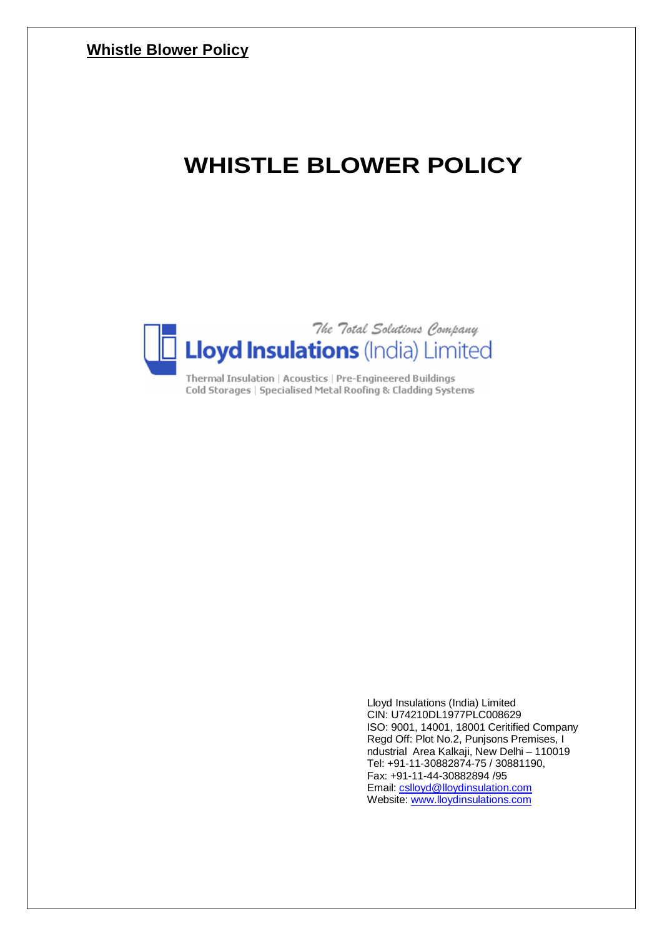# **WHISTLE BLOWER POLICY**



Cold Storages | Specialised Metal Roofing & Cladding Systems

Lloyd Insulations (India) Limited CIN: U74210DL1977PLC008629 ISO: 9001, 14001, 18001 Ceritified Company Regd Off: Plot No.2, Punjsons Premises, I ndustrial Area Kalkaji, New Delhi – 110019 Tel: +91-11-30882874-75 / 30881190, Fax: +91-11-44-30882894 /95 Email: cslloyd@lloydinsulation.com Website: www.lloydinsulations.com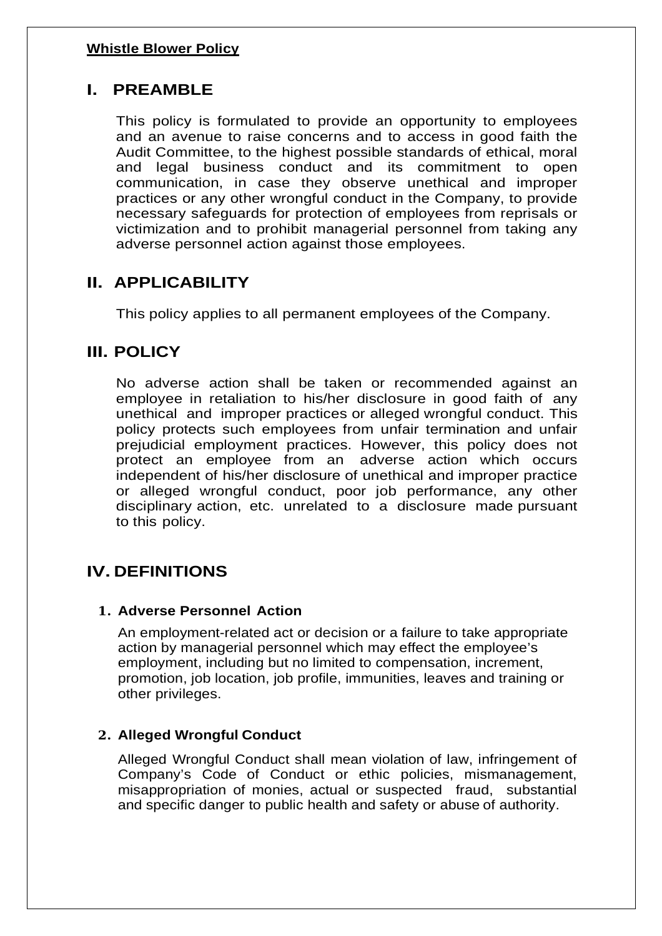# **I. PREAMBLE**

This policy is formulated to provide an opportunity to employees and an avenue to raise concerns and to access in good faith the Audit Committee, to the highest possible standards of ethical, moral and legal business conduct and its commitment to open communication, in case they observe unethical and improper practices or any other wrongful conduct in the Company, to provide necessary safeguards for protection of employees from reprisals or victimization and to prohibit managerial personnel from taking any adverse personnel action against those employees.

# **II. APPLICABILITY**

This policy applies to all permanent employees of the Company.

# **III. POLICY**

No adverse action shall be taken or recommended against an employee in retaliation to his/her disclosure in good faith of any unethical and improper practices or alleged wrongful conduct. This policy protects such employees from unfair termination and unfair prejudicial employment practices. However, this policy does not protect an employee from an adverse action which occurs independent of his/her disclosure of unethical and improper practice or alleged wrongful conduct, poor job performance, any other disciplinary action, etc. unrelated to a disclosure made pursuant to this policy.

# **IV. DEFINITIONS**

# **1. Adverse Personnel Action**

An employment-related act or decision or a failure to take appropriate action by managerial personnel which may effect the employee's employment, including but no limited to compensation, increment, promotion, job location, job profile, immunities, leaves and training or other privileges.

# **2. Alleged Wrongful Conduct**

Alleged Wrongful Conduct shall mean violation of law, infringement of Company's Code of Conduct or ethic policies, mismanagement, misappropriation of monies, actual or suspected fraud, substantial and specific danger to public health and safety or abuse of authority.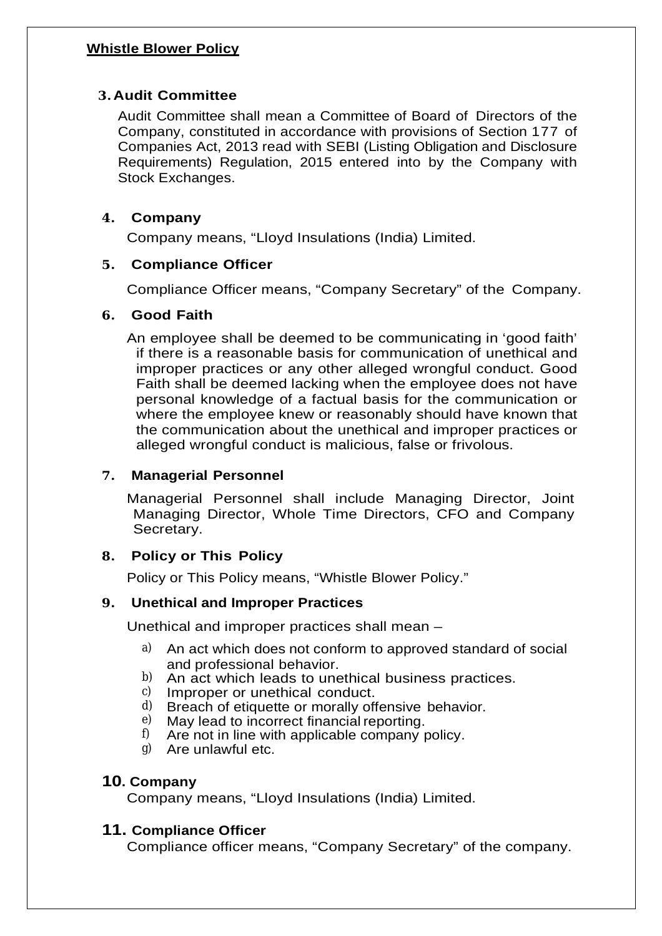# **3. Audit Committee**

Audit Committee shall mean a Committee of Board of Directors of the Company, constituted in accordance with provisions of Section 177 of Companies Act, 2013 read with SEBI (Listing Obligation and Disclosure Requirements) Regulation, 2015 entered into by the Company with Stock Exchanges.

# **4. Company**

Company means, "Lloyd Insulations (India) Limited.

# **5. Compliance Officer**

Compliance Officer means, "Company Secretary" of the Company.

# **6. Good Faith**

An employee shall be deemed to be communicating in 'good faith' if there is a reasonable basis for communication of unethical and improper practices or any other alleged wrongful conduct. Good Faith shall be deemed lacking when the employee does not have personal knowledge of a factual basis for the communication or where the employee knew or reasonably should have known that the communication about the unethical and improper practices or alleged wrongful conduct is malicious, false or frivolous.

# **7. Managerial Personnel**

Managerial Personnel shall include Managing Director, Joint Managing Director, Whole Time Directors, CFO and Company Secretary.

# **8. Policy or This Policy**

Policy or This Policy means, "Whistle Blower Policy."

# **9. Unethical and Improper Practices**

Unethical and improper practices shall mean –

- a) An act which does not conform to approved standard of social and professional behavior.
- b) An act which leads to unethical business practices.<br>c) Improper or unethical conduct
- Improper or unethical conduct.
- $\alpha$ ) Breach of etiquette or morally offensive behavior.<br>  $\beta$ ) May lead to incorrect financial reporting.
- $e$ ) May lead to incorrect financial reporting.<br> $f$ ) Are not in line with applicable company r
- f) Are not in line with applicable company policy.<br>  $\alpha$ ) Are unlawful etc.
- g) Are unlawful etc.

# **10. Company**

Company means, "Lloyd Insulations (India) Limited.

# **11. Compliance Officer**

Compliance officer means, "Company Secretary" of the company.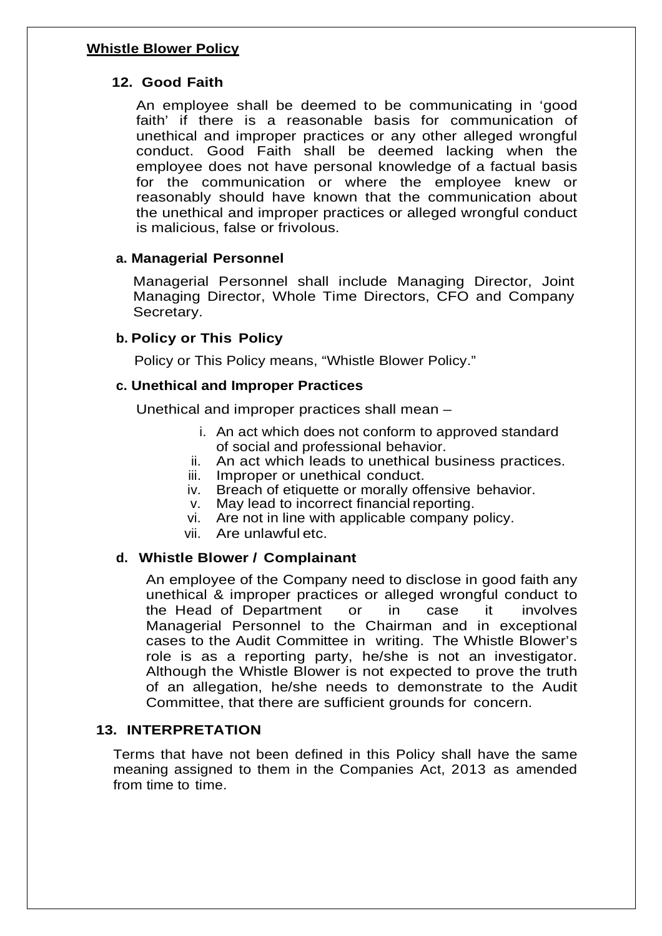# **12. Good Faith**

An employee shall be deemed to be communicating in 'good faith' if there is a reasonable basis for communication of unethical and improper practices or any other alleged wrongful conduct. Good Faith shall be deemed lacking when the employee does not have personal knowledge of a factual basis for the communication or where the employee knew or reasonably should have known that the communication about the unethical and improper practices or alleged wrongful conduct is malicious, false or frivolous.

# **a. Managerial Personnel**

Managerial Personnel shall include Managing Director, Joint Managing Director, Whole Time Directors, CFO and Company Secretary.

# **b. Policy or This Policy**

Policy or This Policy means, "Whistle Blower Policy."

#### **c. Unethical and Improper Practices**

Unethical and improper practices shall mean –

- i. An act which does not conform to approved standard of social and professional behavior.
- ii. An act which leads to unethical business practices.
- iii. Improper or unethical conduct.
- iv. Breach of etiquette or morally offensive behavior.
- v. May lead to incorrect financial reporting.
- vi. Are not in line with applicable company policy.
- vii. Are unlawful etc.

# **d. Whistle Blower / Complainant**

An employee of the Company need to disclose in good faith any unethical & improper practices or alleged wrongful conduct to the Head of Department or in case it involves Managerial Personnel to the Chairman and in exceptional cases to the Audit Committee in writing. The Whistle Blower's role is as a reporting party, he/she is not an investigator. Although the Whistle Blower is not expected to prove the truth of an allegation, he/she needs to demonstrate to the Audit Committee, that there are sufficient grounds for concern.

#### **13. INTERPRETATION**

Terms that have not been defined in this Policy shall have the same meaning assigned to them in the Companies Act, 2013 as amended from time to time.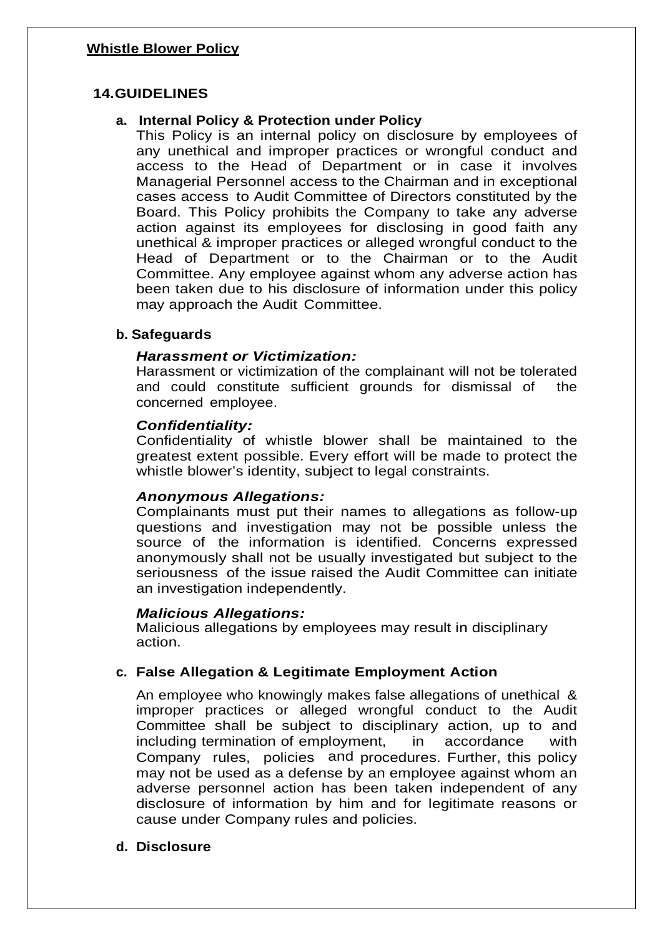# **14.GUIDELINES**

# **a. Internal Policy & Protection under Policy**

This Policy is an internal policy on disclosure by employees of any unethical and improper practices or wrongful conduct and access to the Head of Department or in case it involves Managerial Personnel access to the Chairman and in exceptional cases access to Audit Committee of Directors constituted by the Board. This Policy prohibits the Company to take any adverse action against its employees for disclosing in good faith any unethical & improper practices or alleged wrongful conduct to the Head of Department or to the Chairman or to the Audit Committee. Any employee against whom any adverse action has been taken due to his disclosure of information under this policy may approach the Audit Committee.

# **b. Safeguards**

# *Harassment or Victimization:*

Harassment or victimization of the complainant will not be tolerated and could constitute sufficient grounds for dismissal of the concerned employee.

# *Confidentiality:*

Confidentiality of whistle blower shall be maintained to the greatest extent possible. Every effort will be made to protect the whistle blower's identity, subject to legal constraints.

# *Anonymous Allegations:*

Complainants must put their names to allegations as follow-up questions and investigation may not be possible unless the source of the information is identified. Concerns expressed anonymously shall not be usually investigated but subject to the seriousness of the issue raised the Audit Committee can initiate an investigation independently.

# *Malicious Allegations:*

Malicious allegations by employees may result in disciplinary action.

# **c. False Allegation & Legitimate Employment Action**

An employee who knowingly makes false allegations of unethical & improper practices or alleged wrongful conduct to the Audit Committee shall be subject to disciplinary action, up to and including termination of employment, in accordance with Company rules, policies and procedures. Further, this policy may not be used as a defense by an employee against whom an adverse personnel action has been taken independent of any disclosure of information by him and for legitimate reasons or cause under Company rules and policies.

# **d. Disclosure**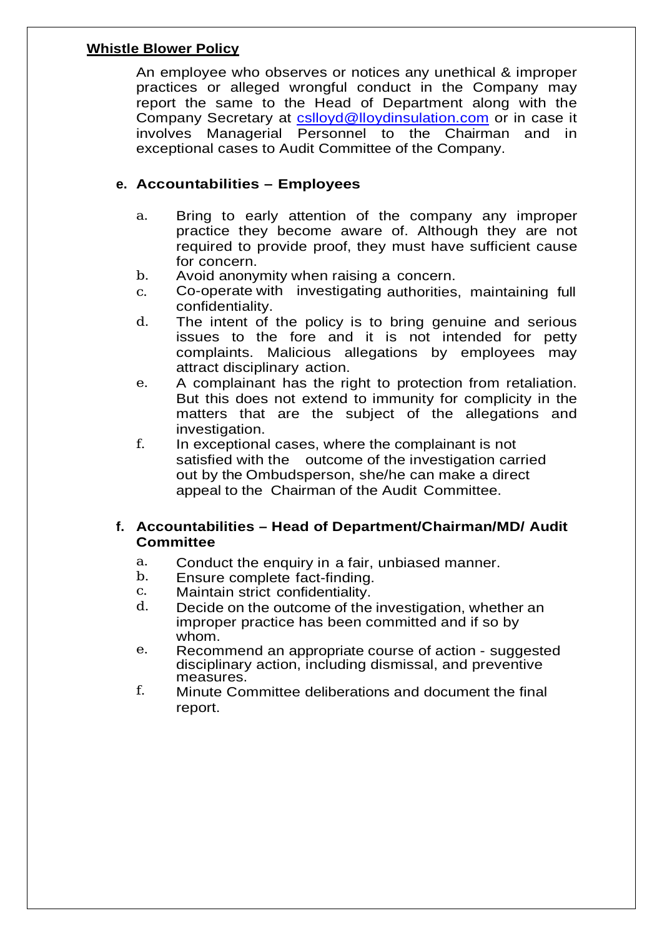An employee who observes or notices any unethical & improper practices or alleged wrongful conduct in the Company may report the same to the Head of Department along with the Company Secretary at cslloyd@lloydinsulation.com or in case it involves Managerial Personnel to the Chairman and in exceptional cases to Audit Committee of the Company.

# **e. Accountabilities – Employees**

- a. Bring to early attention of the company any improper practice they become aware of. Although they are not required to provide proof, they must have sufficient cause for concern.
- b. Avoid anonymity when raising a concern.
- c. Co-operate with investigating authorities, maintaining full confidentiality.
- d. The intent of the policy is to bring genuine and serious issues to the fore and it is not intended for petty complaints. Malicious allegations by employees may attract disciplinary action.
- e. A complainant has the right to protection from retaliation. But this does not extend to immunity for complicity in the matters that are the subject of the allegations and investigation.
- f. In exceptional cases, where the complainant is not satisfied with the outcome of the investigation carried out by the Ombudsperson, she/he can make a direct appeal to the Chairman of the Audit Committee.

# **f. Accountabilities – Head of Department/Chairman/MD/ Audit Committee**

- a. Conduct the enquiry in a fair, unbiased manner.<br>b. Finsure complete fact-finding
- b. Ensure complete fact-finding.<br>c. Maintain strict confidentiality
- c. Maintain strict confidentiality.<br>d. Decide on the outcome of the
- Decide on the outcome of the investigation, whether an improper practice has been committed and if so by whom.
- e. Recommend an appropriate course of action suggested disciplinary action, including dismissal, and preventive measures.
- f. Minute Committee deliberations and document the final report.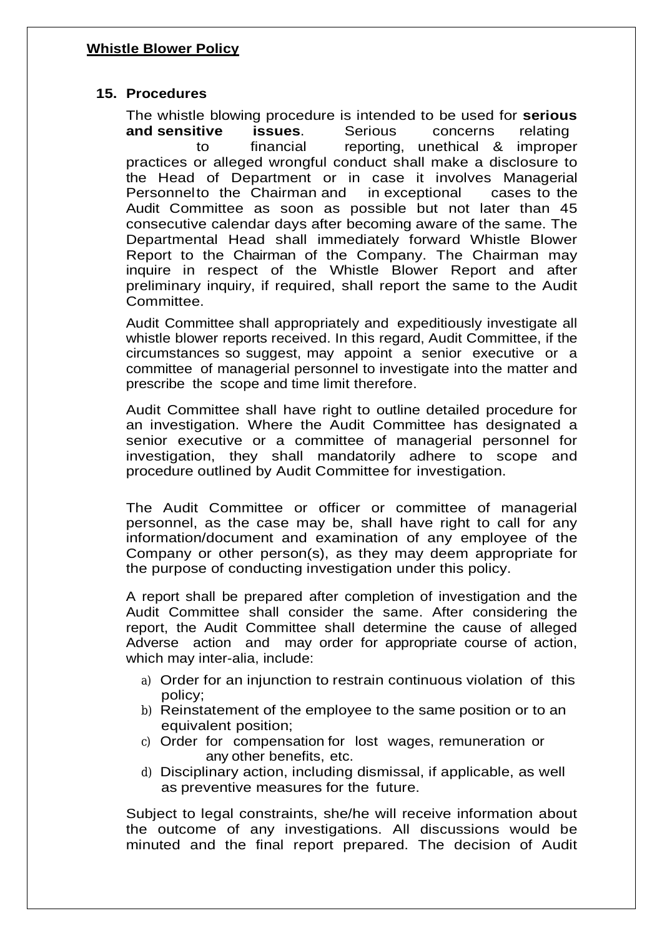# **15. Procedures**

The whistle blowing procedure is intended to be used for **serious and sensitive issues**. Serious concerns relating to financial reporting, unethical & improper practices or alleged wrongful conduct shall make a disclosure to the Head of Department or in case it involves Managerial Personnelto the Chairman and in exceptional cases to the Audit Committee as soon as possible but not later than 45 consecutive calendar days after becoming aware of the same. The Departmental Head shall immediately forward Whistle Blower Report to the Chairman of the Company. The Chairman may inquire in respect of the Whistle Blower Report and after preliminary inquiry, if required, shall report the same to the Audit **Committee** 

Audit Committee shall appropriately and expeditiously investigate all whistle blower reports received. In this regard, Audit Committee, if the circumstances so suggest, may appoint a senior executive or a committee of managerial personnel to investigate into the matter and prescribe the scope and time limit therefore.

Audit Committee shall have right to outline detailed procedure for an investigation. Where the Audit Committee has designated a senior executive or a committee of managerial personnel for investigation, they shall mandatorily adhere to scope and procedure outlined by Audit Committee for investigation.

The Audit Committee or officer or committee of managerial personnel, as the case may be, shall have right to call for any information/document and examination of any employee of the Company or other person(s), as they may deem appropriate for the purpose of conducting investigation under this policy.

A report shall be prepared after completion of investigation and the Audit Committee shall consider the same. After considering the report, the Audit Committee shall determine the cause of alleged Adverse action and may order for appropriate course of action, which may inter-alia, include:

- a) Order for an injunction to restrain continuous violation of this policy;
- b) Reinstatement of the employee to the same position or to an equivalent position;
- c) Order for compensation for lost wages, remuneration or any other benefits, etc.
- d) Disciplinary action, including dismissal, if applicable, as well as preventive measures for the future.

Subject to legal constraints, she/he will receive information about the outcome of any investigations. All discussions would be minuted and the final report prepared. The decision of Audit